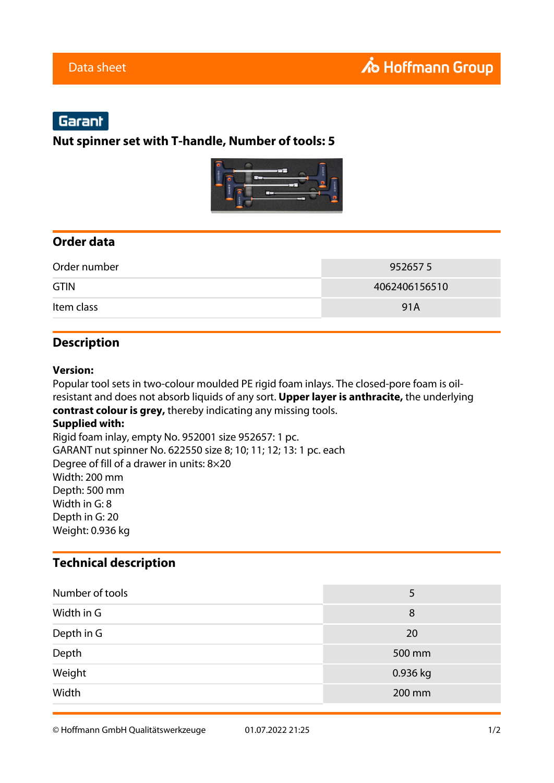# Garant

#### **Nut spinner set with T-handle, Number of tools: 5**



### **Order data**

| Order number | 9526575       |
|--------------|---------------|
| <b>GTIN</b>  | 4062406156510 |
| Item class   | 91A           |

### **Description**

#### **Version:**

Popular tool sets in two-colour moulded PE rigid foam inlays. The closed-pore foam is oilresistant and does not absorb liquids of any sort. **Upper layer is anthracite,** the underlying **contrast colour is grey,** thereby indicating any missing tools. **Supplied with:** Rigid foam inlay, empty No. 952001 size 952657: 1 pc.

GARANT nut spinner No. 622550 size 8; 10; 11; 12; 13: 1 pc. each Degree of fill of a drawer in units: 8×20 Width: 200 mm Depth: 500 mm Width in G: 8 Depth in G: 20 Weight: 0.936 kg

### **Technical description**

| Number of tools | 5        |
|-----------------|----------|
| Width in G      | 8        |
| Depth in G      | 20       |
| Depth           | 500 mm   |
| Weight          | 0.936 kg |
| Width           | 200 mm   |

© Hoffmann GmbH Qualitätswerkzeuge 01.07.2022 21:25 1/2